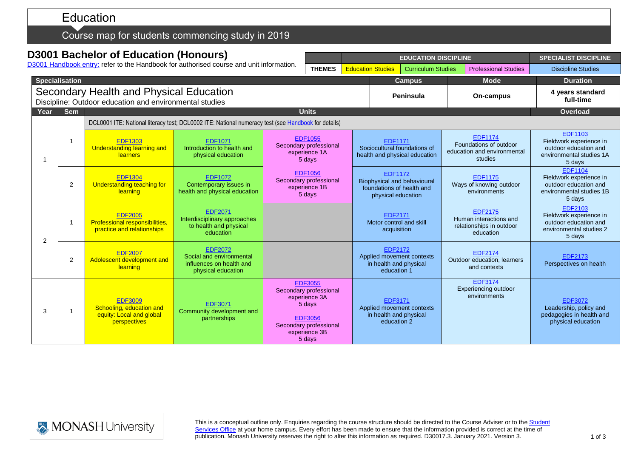# Education

### Course map for students commencing study in 2019

## **D3001 Bachelor of Education (Honours)**

D3001 [Handbook entry:](http://www.monash.edu.au/pubs/2019handbooks/courses/D3001.html) refer to the Handbook for authorised course and unit information.

|                                                                                                    |                            |                                                                                                     | D300 Franqook entry. Telef to the Handbook for authorised course and unit information.       |                                                                                                                                            | <b>THEMES</b>                                                                                                                              |  | <b>Education Studies</b>                                                                                | <b>Curriculum Studies</b> |  | <b>Professional Studies</b>                                                        | <b>Discipline Studies</b>                                                                                |
|----------------------------------------------------------------------------------------------------|----------------------------|-----------------------------------------------------------------------------------------------------|----------------------------------------------------------------------------------------------|--------------------------------------------------------------------------------------------------------------------------------------------|--------------------------------------------------------------------------------------------------------------------------------------------|--|---------------------------------------------------------------------------------------------------------|---------------------------|--|------------------------------------------------------------------------------------|----------------------------------------------------------------------------------------------------------|
| <b>Specialisation</b>                                                                              |                            |                                                                                                     |                                                                                              |                                                                                                                                            |                                                                                                                                            |  | <b>Campus</b>                                                                                           |                           |  | <b>Mode</b>                                                                        | <b>Duration</b>                                                                                          |
| Secondary Health and Physical Education<br>Discipline: Outdoor education and environmental studies |                            |                                                                                                     |                                                                                              |                                                                                                                                            |                                                                                                                                            |  | Peninsula                                                                                               |                           |  | On-campus                                                                          | 4 years standard<br>full-time                                                                            |
| Year                                                                                               | <b>Sem</b><br><b>Units</b> |                                                                                                     |                                                                                              |                                                                                                                                            |                                                                                                                                            |  |                                                                                                         |                           |  |                                                                                    | Overload                                                                                                 |
|                                                                                                    |                            | DCL0001 ITE: National literacy test; DCL0002 ITE: National numeracy test (see Handbook for details) |                                                                                              |                                                                                                                                            |                                                                                                                                            |  |                                                                                                         |                           |  |                                                                                    |                                                                                                          |
|                                                                                                    |                            | <b>EDF1303</b><br><b>Understanding learning and</b><br><b>learners</b>                              | <b>EDF1071</b><br>Introduction to health and<br>physical education                           | <b>EDF1055</b><br>Secondary professional<br>experience 1A<br>5 days<br><b>EDF1056</b><br>Secondary professional<br>experience 1B<br>5 days |                                                                                                                                            |  | <b>EDF1171</b><br>Sociocultural foundations of<br>health and physical education                         |                           |  | <b>EDF1174</b><br>Foundations of outdoor<br>education and environmental<br>studies | <b>EDF1103</b><br>Fieldwork experience in<br>outdoor education and<br>environmental studies 1A<br>5 days |
|                                                                                                    | 2                          | <b>EDF1304</b><br><b>Understanding teaching for</b><br>learning                                     | <b>EDF1072</b><br>Contemporary issues in<br>health and physical education                    |                                                                                                                                            |                                                                                                                                            |  | <b>EDF1172</b><br><b>Biophysical and behavioural</b><br>foundations of health and<br>physical education |                           |  | <b>EDF1175</b><br>Ways of knowing outdoor<br>environments                          | <b>EDF1104</b><br>Fieldwork experience in<br>outdoor education and<br>environmental studies 1B<br>5 days |
| 2                                                                                                  | $\overline{\phantom{a}}$   | <b>EDF2005</b><br>Professional responsibilities,<br>practice and relationships                      | <b>EDF2071</b><br>Interdisciplinary approaches<br>to health and physical<br>education        |                                                                                                                                            |                                                                                                                                            |  | <b>EDF2171</b><br>Motor control and skill<br>acquisition                                                |                           |  | <b>EDF2175</b><br>Human interactions and<br>relationships in outdoor<br>education  | <b>EDF2103</b><br>Fieldwork experience in<br>outdoor education and<br>environmental studies 2<br>5 days  |
|                                                                                                    | $\overline{2}$             | <b>EDF2007</b><br>Adolescent development and<br>learning                                            | <b>EDF2072</b><br>Social and environmental<br>influences on health and<br>physical education |                                                                                                                                            |                                                                                                                                            |  | <b>EDF2172</b><br>in health and physical<br>education 1                                                 | Applied movement contexts |  | <b>EDF2174</b><br>Outdoor education, learners<br>and contexts                      | <b>EDF2173</b><br>Perspectives on health                                                                 |
| 3                                                                                                  | 1                          | <b>EDF3009</b><br>Schooling, education and<br>equity: Local and global<br>perspectives              | <b>EDF3071</b><br>Community development and<br>partnerships                                  |                                                                                                                                            | <b>EDF3055</b><br>Secondary professional<br>experience 3A<br>5 days<br><b>EDF3056</b><br>Secondary professional<br>experience 3B<br>5 days |  | <b>EDF3171</b><br>in health and physical<br>education 2                                                 | Applied movement contexts |  | <b>EDF3174</b><br>Experiencing outdoor<br>environments                             | <b>EDF3072</b><br>Leadership, policy and<br>pedagogies in health and<br>physical education               |



This is a conceptual outline only. Enquiries regarding the course structure should be directed to the Course Adviser or to the Student [Services Office](https://www.monash.edu/education/current-students/contact) at your home campus. Every effort has been made to ensure that the information provided is correct at the time of publication. Monash University reserves the right to alter this information as required. D30017.3. January 2021. Version 3.

**EDUCATION DISCIPLINE SPECIALIST DISCIPLINE**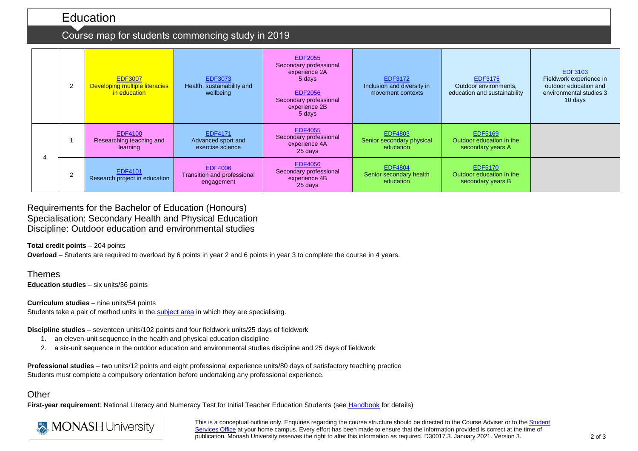### Education

### Course map for students commencing study in 2019

|  | 2      | <b>EDF3007</b><br><b>Developing multiple literacies</b><br>in education | <b>EDF3073</b><br>Health, sustainability and<br>wellbeing   | <b>EDF2055</b><br>Secondary professional<br>experience 2A<br>5 days<br><b>EDF2056</b><br>Secondary professional<br>experience 2B<br>5 days | <b>EDF3172</b><br>Inclusion and diversity in<br>movement contexts | <b>EDF3175</b><br>Outdoor environments,<br>education and sustainability | <b>EDF3103</b><br>Fieldwork experience in<br>outdoor education and<br>environmental studies 3<br>10 days |
|--|--------|-------------------------------------------------------------------------|-------------------------------------------------------------|--------------------------------------------------------------------------------------------------------------------------------------------|-------------------------------------------------------------------|-------------------------------------------------------------------------|----------------------------------------------------------------------------------------------------------|
|  |        | <b>EDF4100</b><br>Researching teaching and<br>learning                  | <b>EDF4171</b><br>Advanced sport and<br>exercise science    | <b>EDF4055</b><br>Secondary professional<br>experience 4A<br>25 days                                                                       | <b>EDF4803</b><br>Senior secondary physical<br>education          | <b>EDF5169</b><br>Outdoor education in the<br>secondary years A         |                                                                                                          |
|  | $\sim$ | <b>EDF4101</b><br>Research project in education                         | <b>EDF4006</b><br>Transition and professional<br>engagement | <b>EDF4056</b><br>Secondary professional<br>experience 4B<br>25 days                                                                       | <b>EDF4804</b><br>Senior secondary health<br>education            | <b>EDF5170</b><br>Outdoor education in the<br>secondary years B         |                                                                                                          |

Requirements for the Bachelor of Education (Honours) Specialisation: Secondary Health and Physical Education Discipline: Outdoor education and environmental studies

**Total credit points** – 204 points

**Overload** – Students are required to overload by 6 points in year 2 and 6 points in year 3 to complete the course in 4 years.

Themes **Education studies** – six units/36 points

**Curriculum studies** – nine units/54 points Students take a pair of method units in the [subject area](http://www.education.monash.edu.au/units/secondary-specialisms.html) in which they are specialising.

**Discipline studies** – seventeen units/102 points and four fieldwork units/25 days of fieldwork

- 1. an eleven-unit sequence in the health and physical education discipline
- 2. a six-unit sequence in the outdoor education and environmental studies discipline and 25 days of fieldwork

**Professional studies** – two units/12 points and eight professional experience units/80 days of satisfactory teaching practice Students must complete a compulsory orientation before undertaking any professional experience.

#### **Other**

First-year requirement: National Literacy and Numeracy Test for Initial Teacher Education Students (se[e Handbook](http://www.monash.edu.au/pubs/2019handbooks/courses/D3001.html) for details)



This is a conceptual outline only. Enquiries regarding the course structure should be directed to the Course Adviser or to the Student [Services Office](https://www.monash.edu/education/current-students/contact) at your home campus. Every effort has been made to ensure that the information provided is correct at the time of publication. Monash University reserves the right to alter this information as required. D30017.3. January 2021. Version 3.